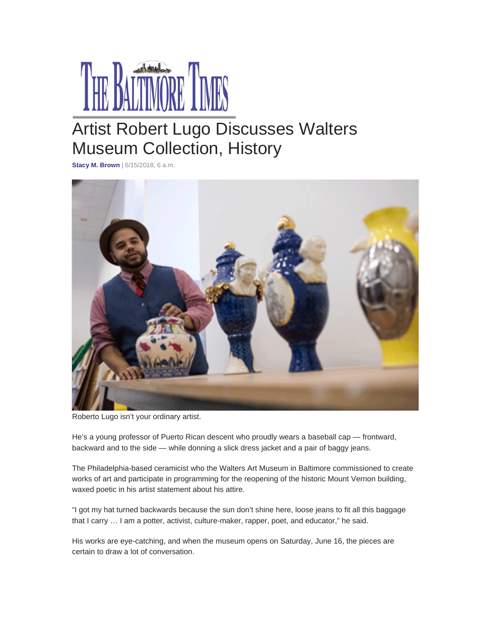

## Artist Robert Lugo Discusses Walters Museum Collection, History

**Stacy M. Brown** | 6/15/2018, 6 a.m.



Roberto Lugo isn't your ordinary artist.

He's a young professor of Puerto Rican descent who proudly wears a baseball cap — frontward, backward and to the side — while donning a slick dress jacket and a pair of baggy jeans.

The Philadelphia-based ceramicist who the Walters Art Museum in Baltimore commissioned to create works of art and participate in programming for the reopening of the historic Mount Vernon building, waxed poetic in his artist statement about his attire.

"I got my hat turned backwards because the sun don't shine here, loose jeans to fit all this baggage that I carry … I am a potter, activist, culture-maker, rapper, poet, and educator," he said.

His works are eye-catching, and when the museum opens on Saturday, June 16, the pieces are certain to draw a lot of conversation.